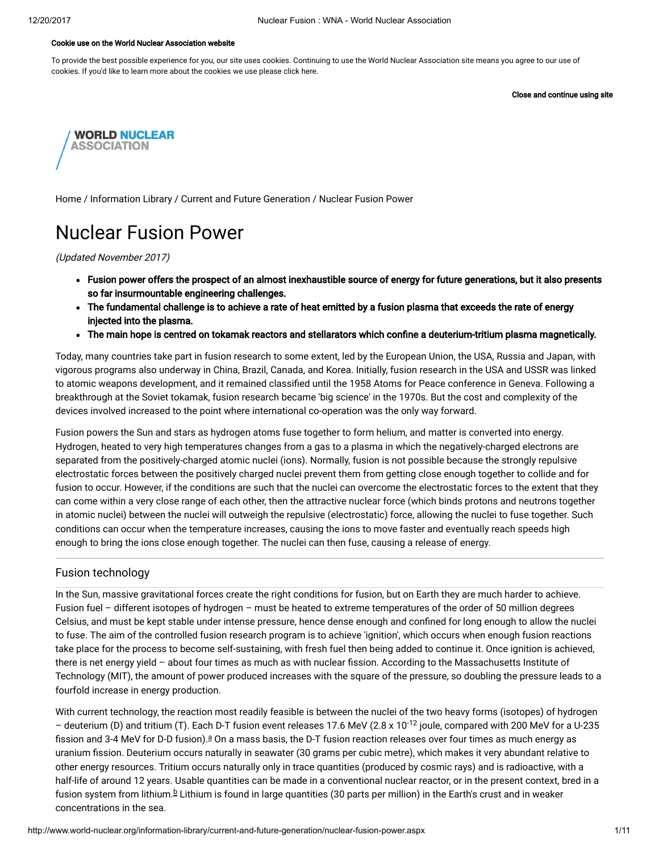#### Cookie use on the World Nuclear Association website

To provide the best possible experience for you, our site uses cookies. Continuing to use the World Nuclear Association site means you agree to our use of cookies. If you'd like to learn more about the cookies we use please click here.

Close and continue using site



[Home](http://www.world-nuclear.org/) / [Information](http://www.world-nuclear.org/information-library.aspx) Library / Current and Future [Generation](http://www.world-nuclear.org/information-library/current-and-future-generation.aspx) / Nuclear Fusion Power

# Nuclear Fusion Power

(Updated November 2017)

- Fusion power offers the prospect of an almost inexhaustible source of energy for future generations, but it also presents so far insurmountable engineering challenges.
- The fundamental challenge is to achieve a rate of heat emitted by a fusion plasma that exceeds the rate of energy injected into the plasma.
- The main hope is centred on tokamak reactors and stellarators which confine a deuterium-tritium plasma magnetically.

Today, many countries take part in fusion research to some extent, led by the European Union, the USA, Russia and Japan, with vigorous programs also underway in China, Brazil, Canada, and Korea. Initially, fusion research in the USA and USSR was linked to atomic weapons development, and it remained classified until the 1958 Atoms for Peace conference in Geneva. Following a breakthrough at the Soviet tokamak, fusion research became 'big science' in the 1970s. But the cost and complexity of the devices involved increased to the point where international co-operation was the only way forward.

Fusion powers the Sun and stars as hydrogen atoms fuse together to form helium, and matter is converted into energy. Hydrogen, heated to very high temperatures changes from a gas to a plasma in which the negatively-charged electrons are separated from the positively-charged atomic nuclei (ions). Normally, fusion is not possible because the strongly repulsive electrostatic forces between the positively charged nuclei prevent them from getting close enough together to collide and for fusion to occur. However, if the conditions are such that the nuclei can overcome the electrostatic forces to the extent that they can come within a very close range of each other, then the attractive nuclear force (which binds protons and neutrons together in atomic nuclei) between the nuclei will outweigh the repulsive (electrostatic) force, allowing the nuclei to fuse together. Such conditions can occur when the temperature increases, causing the ions to move faster and eventually reach speeds high enough to bring the ions close enough together. The nuclei can then fuse, causing a release of energy.

# Fusion technology

In the Sun, massive gravitational forces create the right conditions for fusion, but on Earth they are much harder to achieve. Fusion fuel – different isotopes of hydrogen – must be heated to extreme temperatures of the order of 50 million degrees Celsius, and must be kept stable under intense pressure, hence dense enough and confined for long enough to allow the nuclei to fuse. The aim of the controlled fusion research program is to achieve 'ignition', which occurs when enough fusion reactions take place for the process to become self-sustaining, with fresh fuel then being added to continue it. Once ignition is achieved, there is net energy yield - about four times as much as with nuclear fission. According to the Massachusetts Institute of Technology (MIT), the amount of power produced increases with the square of the pressure, so doubling the pressure leads to a fourfold increase in energy production.

<span id="page-0-1"></span><span id="page-0-0"></span>With current technology, the reaction most readily feasible is between the nuclei of the two heavy forms (isotopes) of hydrogen – deuterium (D) and tritium (T). Each D-T fusion event releases 17.6 MeV (2.8 x 10<sup>-12</sup> joule, compared with 200 MeV for a U-235 fission [a](#page-8-0)nd 3-4 MeV for D-D fusion). $a$  On a mass basis, the D-T fusion reaction releases over four times as much energy as uranium fission. Deuterium occurs naturally in seawater (30 grams per cubic metre), which makes it very abundant relative to other energy resources. Tritium occurs naturally only in trace quantities (produced by cosmic rays) and is radioactive, with a half-life of around 12 years. Usable quantities can be made in a conventional nuclear reactor, or in the present context, bred in a fusion system from lithium.<sup>[b](#page-8-0)</sup> Lithium is found in large quantities (30 parts per million) in the Earth's crust and in weaker concentrations in the sea.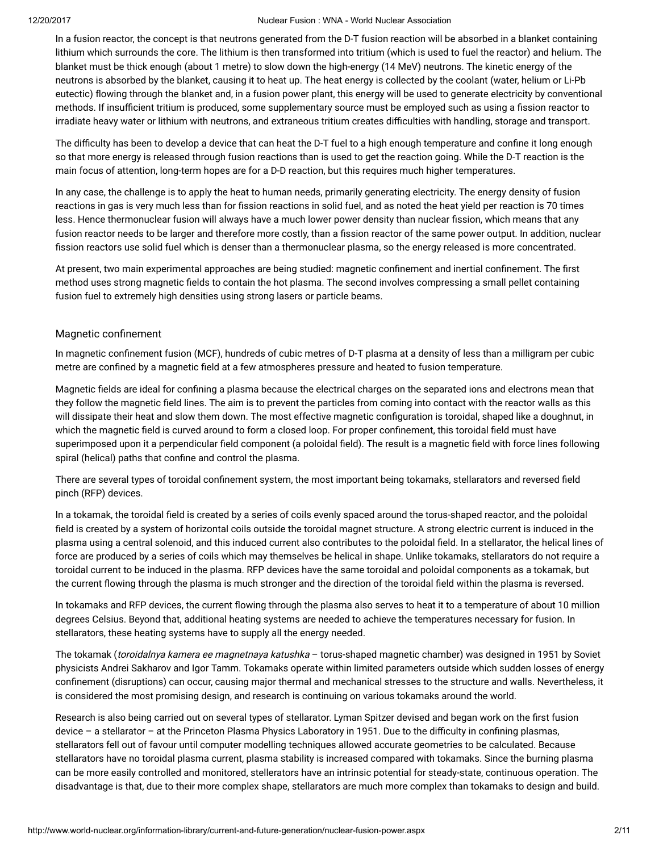In a fusion reactor, the concept is that neutrons generated from the D-T fusion reaction will be absorbed in a blanket containing lithium which surrounds the core. The lithium is then transformed into tritium (which is used to fuel the reactor) and helium. The blanket must be thick enough (about 1 metre) to slow down the high-energy (14 MeV) neutrons. The kinetic energy of the neutrons is absorbed by the blanket, causing it to heat up. The heat energy is collected by the coolant (water, helium or Li-Pb eutectic) flowing through the blanket and, in a fusion power plant, this energy will be used to generate electricity by conventional methods. If insufficient tritium is produced, some supplementary source must be employed such as using a fission reactor to irradiate heavy water or lithium with neutrons, and extraneous tritium creates difficulties with handling, storage and transport.

The difficulty has been to develop a device that can heat the D-T fuel to a high enough temperature and confine it long enough so that more energy is released through fusion reactions than is used to get the reaction going. While the D-T reaction is the main focus of attention, long-term hopes are for a D-D reaction, but this requires much higher temperatures.

In any case, the challenge is to apply the heat to human needs, primarily generating electricity. The energy density of fusion reactions in gas is very much less than for fission reactions in solid fuel, and as noted the heat yield per reaction is 70 times less. Hence thermonuclear fusion will always have a much lower power density than nuclear fission, which means that any fusion reactor needs to be larger and therefore more costly, than a fission reactor of the same power output. In addition, nuclear fission reactors use solid fuel which is denser than a thermonuclear plasma, so the energy released is more concentrated.

At present, two main experimental approaches are being studied: magnetic confinement and inertial confinement. The first method uses strong magnetic fields to contain the hot plasma. The second involves compressing a small pellet containing fusion fuel to extremely high densities using strong lasers or particle beams.

#### Magnetic confinement

In magnetic confinement fusion (MCF), hundreds of cubic metres of D-T plasma at a density of less than a milligram per cubic metre are confined by a magnetic field at a few atmospheres pressure and heated to fusion temperature.

Magnetic fields are ideal for confining a plasma because the electrical charges on the separated ions and electrons mean that they follow the magnetic field lines. The aim is to prevent the particles from coming into contact with the reactor walls as this will dissipate their heat and slow them down. The most effective magnetic configuration is toroidal, shaped like a doughnut, in which the magnetic field is curved around to form a closed loop. For proper confinement, this toroidal field must have superimposed upon it a perpendicular field component (a poloidal field). The result is a magnetic field with force lines following spiral (helical) paths that confine and control the plasma.

There are several types of toroidal confinement system, the most important being tokamaks, stellarators and reversed field pinch (RFP) devices.

In a tokamak, the toroidal field is created by a series of coils evenly spaced around the torus-shaped reactor, and the poloidal field is created by a system of horizontal coils outside the toroidal magnet structure. A strong electric current is induced in the plasma using a central solenoid, and this induced current also contributes to the poloidal field. In a stellarator, the helical lines of force are produced by a series of coils which may themselves be helical in shape. Unlike tokamaks, stellarators do not require a toroidal current to be induced in the plasma. RFP devices have the same toroidal and poloidal components as a tokamak, but the current flowing through the plasma is much stronger and the direction of the toroidal field within the plasma is reversed.

In tokamaks and RFP devices, the current flowing through the plasma also serves to heat it to a temperature of about 10 million degrees Celsius. Beyond that, additional heating systems are needed to achieve the temperatures necessary for fusion. In stellarators, these heating systems have to supply all the energy needed.

The tokamak (toroidalnya kamera ee magnetnaya katushka - torus-shaped magnetic chamber) was designed in 1951 by Soviet physicists Andrei Sakharov and Igor Tamm. Tokamaks operate within limited parameters outside which sudden losses of energy confinement (disruptions) can occur, causing major thermal and mechanical stresses to the structure and walls. Nevertheless, it is considered the most promising design, and research is continuing on various tokamaks around the world.

Research is also being carried out on several types of stellarator. Lyman Spitzer devised and began work on the first fusion device – a stellarator – at the Princeton Plasma Physics Laboratory in 1951. Due to the difficulty in confining plasmas, stellarators fell out of favour until computer modelling techniques allowed accurate geometries to be calculated. Because stellarators have no toroidal plasma current, plasma stability is increased compared with tokamaks. Since the burning plasma can be more easily controlled and monitored, stellerators have an intrinsic potential for steady-state, continuous operation. The disadvantage is that, due to their more complex shape, stellarators are much more complex than tokamaks to design and build.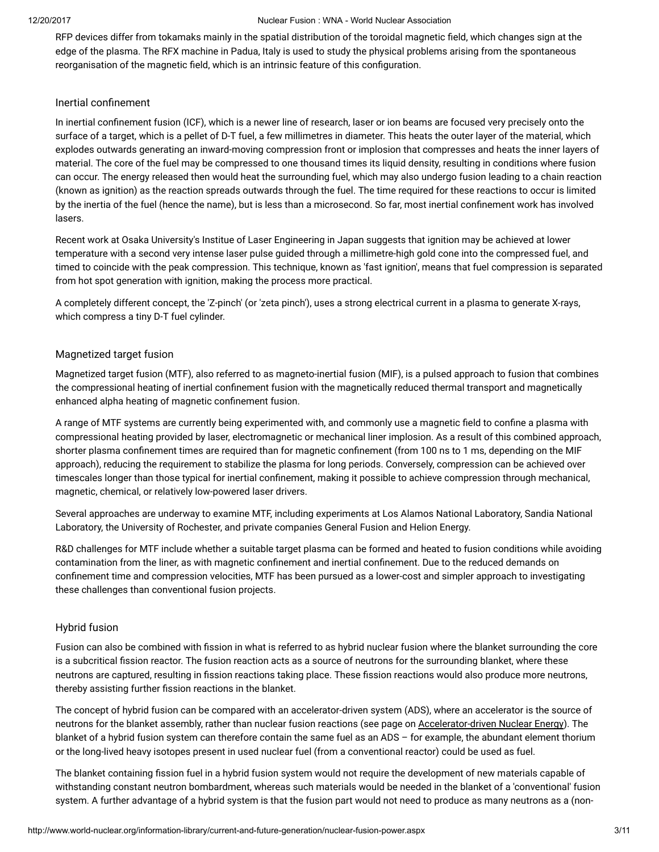RFP devices differ from tokamaks mainly in the spatial distribution of the toroidal magnetic field, which changes sign at the edge of the plasma. The RFX machine in Padua, Italy is used to study the physical problems arising from the spontaneous reorganisation of the magnetic field, which is an intrinsic feature of this configuration.

#### Inertial confinement

In inertial confinement fusion (ICF), which is a newer line of research, laser or ion beams are focused very precisely onto the surface of a target, which is a pellet of D-T fuel, a few millimetres in diameter. This heats the outer layer of the material, which explodes outwards generating an inward-moving compression front or implosion that compresses and heats the inner layers of material. The core of the fuel may be compressed to one thousand times its liquid density, resulting in conditions where fusion can occur. The energy released then would heat the surrounding fuel, which may also undergo fusion leading to a chain reaction (known as ignition) as the reaction spreads outwards through the fuel. The time required for these reactions to occur is limited by the inertia of the fuel (hence the name), but is less than a microsecond. So far, most inertial confinement work has involved lasers.

Recent work at Osaka University's Institue of Laser Engineering in Japan suggests that ignition may be achieved at lower temperature with a second very intense laser pulse guided through a millimetre-high gold cone into the compressed fuel, and timed to coincide with the peak compression. This technique, known as 'fast ignition', means that fuel compression is separated from hot spot generation with ignition, making the process more practical.

A completely different concept, the 'Z-pinch' (or 'zeta pinch'), uses a strong electrical current in a plasma to generate X-rays, which compress a tiny D-T fuel cylinder.

#### Magnetized target fusion

Magnetized target fusion (MTF), also referred to as magneto-inertial fusion (MIF), is a pulsed approach to fusion that combines the compressional heating of inertial confinement fusion with the magnetically reduced thermal transport and magnetically enhanced alpha heating of magnetic confinement fusion.

A range of MTF systems are currently being experimented with, and commonly use a magnetic field to confine a plasma with compressional heating provided by laser, electromagnetic or mechanical liner implosion. As a result of this combined approach, shorter plasma confinement times are required than for magnetic confinement (from 100 ns to 1 ms, depending on the MIF approach), reducing the requirement to stabilize the plasma for long periods. Conversely, compression can be achieved over timescales longer than those typical for inertial confinement, making it possible to achieve compression through mechanical, magnetic, chemical, or relatively low-powered laser drivers.

Several approaches are underway to examine MTF, including experiments at Los Alamos National Laboratory, Sandia National Laboratory, the University of Rochester, and private companies General Fusion and Helion Energy.

R&D challenges for MTF include whether a suitable target plasma can be formed and heated to fusion conditions while avoiding contamination from the liner, as with magnetic confinement and inertial confinement. Due to the reduced demands on confinement time and compression velocities, MTF has been pursued as a lower-cost and simpler approach to investigating these challenges than conventional fusion projects.

# Hybrid fusion

Fusion can also be combined with fission in what is referred to as hybrid nuclear fusion where the blanket surrounding the core is a subcritical fission reactor. The fusion reaction acts as a source of neutrons for the surrounding blanket, where these neutrons are captured, resulting in fission reactions taking place. These fission reactions would also produce more neutrons, thereby assisting further fission reactions in the blanket.

The concept of hybrid fusion can be compared with an accelerator-driven system (ADS), where an accelerator is the source of neutrons for the blanket assembly, rather than nuclear fusion reactions (see page on [Accelerator-driven](http://www.world-nuclear.org/information-library/current-and-future-generation/accelerator-driven-nuclear-energy.aspx) Nuclear Energy). The blanket of a hybrid fusion system can therefore contain the same fuel as an ADS – for example, the abundant element thorium or the long-lived heavy isotopes present in used nuclear fuel (from a conventional reactor) could be used as fuel.

The blanket containing fission fuel in a hybrid fusion system would not require the development of new materials capable of withstanding constant neutron bombardment, whereas such materials would be needed in the blanket of a 'conventional' fusion system. A further advantage of a hybrid system is that the fusion part would not need to produce as many neutrons as a (non-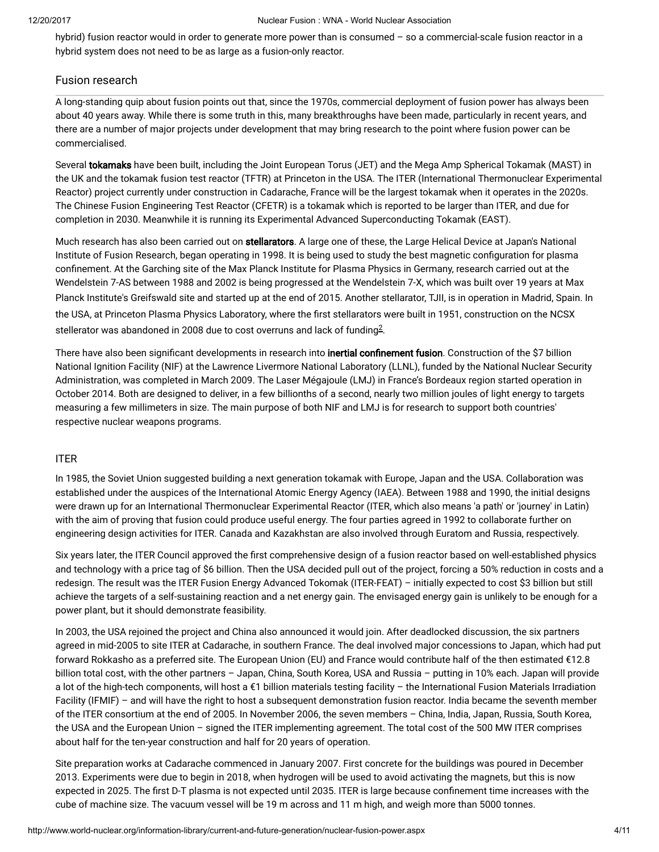hybrid) fusion reactor would in order to generate more power than is consumed – so a commercial-scale fusion reactor in a hybrid system does not need to be as large as a fusion-only reactor.

# Fusion research

A long-standing quip about fusion points out that, since the 1970s, commercial deployment of fusion power has always been about 40 years away. While there is some truth in this, many breakthroughs have been made, particularly in recent years, and there are a number of major projects under development that may bring research to the point where fusion power can be commercialised.

Several tokamaks have been built, including the Joint European Torus (JET) and the Mega Amp Spherical Tokamak (MAST) in the UK and the tokamak fusion test reactor (TFTR) at Princeton in the USA. The ITER (International Thermonuclear Experimental Reactor) project currently under construction in Cadarache, France will be the largest tokamak when it operates in the 2020s. The Chinese Fusion Engineering Test Reactor (CFETR) is a tokamak which is reported to be larger than ITER, and due for completion in 2030. Meanwhile it is running its Experimental Advanced Superconducting Tokamak (EAST).

Much research has also been carried out on stellarators. A large one of these, the Large Helical Device at Japan's National Institute of Fusion Research, began operating in 1998. It is being used to study the best magnetic configuration for plasma confinement. At the Garching site of the Max Planck Institute for Plasma Physics in Germany, research carried out at the Wendelstein 7-AS between 1988 and 2002 is being progressed at the Wendelstein 7-X, which was built over 19 years at Max Planck Institute's Greifswald site and started up at the end of 2015. Another stellarator, TJII, is in operation in Madrid, Spain. In the USA, at Princeton Plasma Physics Laboratory, where the first stellarators were built in 1951, construction on the NCSX stellerator was abandoned in [2](#page-9-0)008 due to cost overruns and lack of funding $^{2}$ .

<span id="page-3-0"></span>There have also been significant developments in research into inertial confinement fusion. Construction of the \$7 billion National Ignition Facility (NIF) at the Lawrence Livermore National Laboratory (LLNL), funded by the National Nuclear Security Administration, was completed in March 2009. The Laser Mégajoule (LMJ) in France's Bordeaux region started operation in October 2014. Both are designed to deliver, in a few billionths of a second, nearly two million joules of light energy to targets measuring a few millimeters in size. The main purpose of both NIF and LMJ is for research to support both countries' respective nuclear weapons programs.

#### ITER

In 1985, the Soviet Union suggested building a next generation tokamak with Europe, Japan and the USA. Collaboration was established under the auspices of the International Atomic Energy Agency (IAEA). Between 1988 and 1990, the initial designs were drawn up for an International Thermonuclear Experimental Reactor (ITER, which also means 'a path' or 'journey' in Latin) with the aim of proving that fusion could produce useful energy. The four parties agreed in 1992 to collaborate further on engineering design activities for ITER. Canada and Kazakhstan are also involved through Euratom and Russia, respectively.

Six years later, the ITER Council approved the first comprehensive design of a fusion reactor based on well-established physics and technology with a price tag of \$6 billion. Then the USA decided pull out of the project, forcing a 50% reduction in costs and a redesign. The result was the ITER Fusion Energy Advanced Tokomak (ITER-FEAT) – initially expected to cost \$3 billion but still achieve the targets of a self-sustaining reaction and a net energy gain. The envisaged energy gain is unlikely to be enough for a power plant, but it should demonstrate feasibility.

In 2003, the USA rejoined the project and China also announced it would join. After deadlocked discussion, the six partners agreed in mid-2005 to site ITER at Cadarache, in southern France. The deal involved major concessions to Japan, which had put forward Rokkasho as a preferred site. The European Union (EU) and France would contribute half of the then estimated €12.8 billion total cost, with the other partners – Japan, China, South Korea, USA and Russia – putting in 10% each. Japan will provide a lot of the high-tech components, will host a €1 billion materials testing facility – the International Fusion Materials Irradiation Facility (IFMIF) – and will have the right to host a subsequent demonstration fusion reactor. India became the seventh member of the ITER consortium at the end of 2005. In November 2006, the seven members – China, India, Japan, Russia, South Korea, the USA and the European Union – signed the ITER implementing agreement. The total cost of the 500 MW ITER comprises about half for the ten-year construction and half for 20 years of operation.

Site preparation works at Cadarache commenced in January 2007. First concrete for the buildings was poured in December 2013. Experiments were due to begin in 2018, when hydrogen will be used to avoid activating the magnets, but this is now expected in 2025. The first D-T plasma is not expected until 2035. ITER is large because confinement time increases with the cube of machine size. The vacuum vessel will be 19 m across and 11 m high, and weigh more than 5000 tonnes.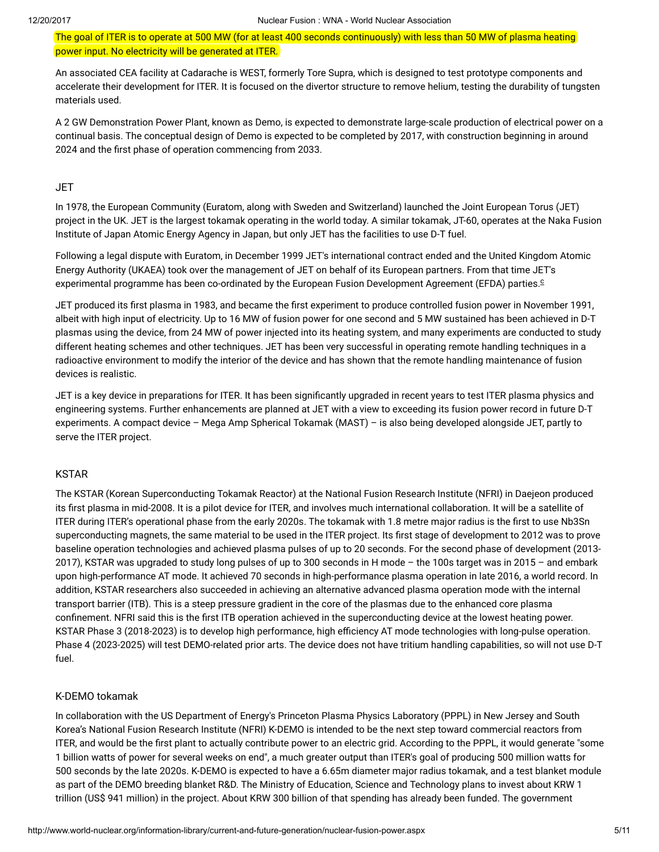The goal of ITER is to operate at 500 MW (for at least 400 seconds continuously) with less than 50 MW of plasma heating power input. No electricity will be generated at ITER.

An associated CEA facility at Cadarache is WEST, formerly Tore Supra, which is designed to test prototype components and accelerate their development for ITER. It is focused on the divertor structure to remove helium, testing the durability of tungsten materials used.

A 2 GW Demonstration Power Plant, known as Demo, is expected to demonstrate large-scale production of electrical power on a continual basis. The conceptual design of Demo is expected to be completed by 2017, with construction beginning in around 2024 and the first phase of operation commencing from 2033.

#### **JET**

In 1978, the European Community (Euratom, along with Sweden and Switzerland) launched the Joint European Torus (JET) project in the UK. JET is the largest tokamak operating in the world today. A similar tokamak, JT-60, operates at the Naka Fusion Institute of Japan Atomic Energy Agency in Japan, but only JET has the facilities to use D-T fuel.

Following a legal dispute with Euratom, in December 1999 JET's international contract ended and the United Kingdom Atomic Energy Authority (UKAEA) took over the management of JET on behalf of its European partners. From that time JET's experimental programme has been co-ordinated by the European Fusion Development Agreement (EFDA) parties. [c](#page-8-0)

<span id="page-4-0"></span>JET produced its first plasma in 1983, and became the first experiment to produce controlled fusion power in November 1991, albeit with high input of electricity. Up to 16 MW of fusion power for one second and 5 MW sustained has been achieved in D-T plasmas using the device, from 24 MW of power injected into its heating system, and many experiments are conducted to study different heating schemes and other techniques. JET has been very successful in operating remote handling techniques in a radioactive environment to modify the interior of the device and has shown that the remote handling maintenance of fusion devices is realistic.

JET is a key device in preparations for ITER. It has been significantly upgraded in recent years to test ITER plasma physics and engineering systems. Further enhancements are planned at JET with a view to exceeding its fusion power record in future D-T experiments. A compact device – Mega Amp Spherical Tokamak (MAST) – is also being developed alongside JET, partly to serve the ITER project.

#### KSTAR

The KSTAR (Korean Superconducting Tokamak Reactor) at the National Fusion Research Institute (NFRI) in Daejeon produced its first plasma in mid-2008. It is a pilot device for ITER, and involves much international collaboration. It will be a satellite of ITER during ITER's operational phase from the early 2020s. The tokamak with 1.8 metre major radius is the first to use Nb3Sn superconducting magnets, the same material to be used in the ITER project. Its first stage of development to 2012 was to prove baseline operation technologies and achieved plasma pulses of up to 20 seconds. For the second phase of development (2013- 2017), KSTAR was upgraded to study long pulses of up to 300 seconds in H mode – the 100s target was in 2015 – and embark upon high-performance AT mode. It achieved 70 seconds in high-performance plasma operation in late 2016, a world record. In addition, KSTAR researchers also succeeded in achieving an alternative advanced plasma operation mode with the internal transport barrier (ITB). This is a steep pressure gradient in the core of the plasmas due to the enhanced core plasma confinement. NFRI said this is the first ITB operation achieved in the superconducting device at the lowest heating power. KSTAR Phase 3 (2018-2023) is to develop high performance, high efficiency AT mode technologies with long-pulse operation. Phase 4 (2023-2025) will test DEMO-related prior arts. The device does not have tritium handling capabilities, so will not use D-T fuel.

#### K-DEMO tokamak

In collaboration with the US Department of Energy's Princeton Plasma Physics Laboratory (PPPL) in New Jersey and South Korea's National Fusion Research Institute (NFRI) K-DEMO is intended to be the next step toward commercial reactors from ITER, and would be the first plant to actually contribute power to an electric grid. According to the PPPL, it would generate "some 1 billion watts of power for several weeks on end", a much greater output than ITER's goal of producing 500 million watts for 500 seconds by the late 2020s. K-DEMO is expected to have a 6.65m diameter major radius tokamak, and a test blanket module as part of the DEMO breeding blanket R&D. The Ministry of Education, Science and Technology plans to invest about KRW 1 trillion (US\$ 941 million) in the project. About KRW 300 billion of that spending has already been funded. The government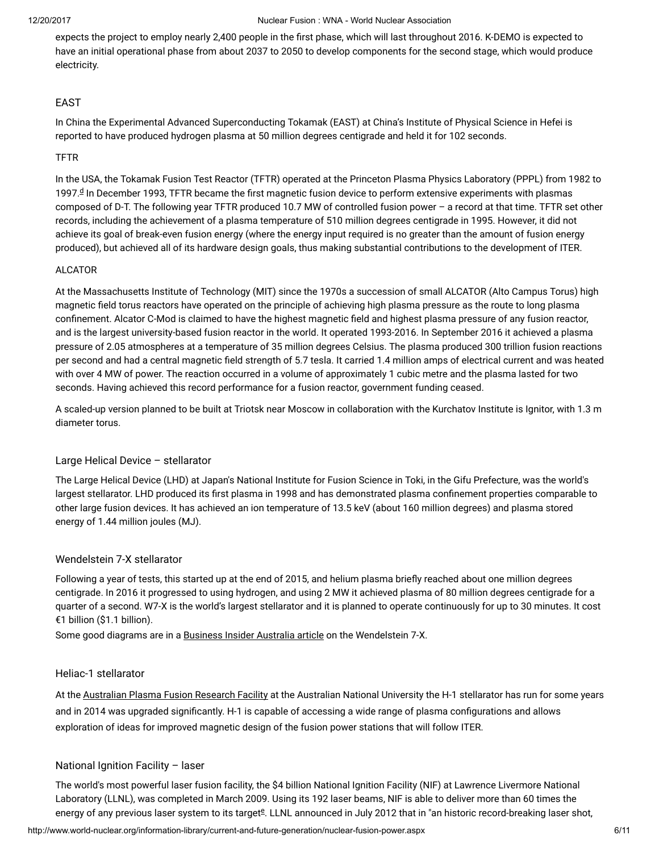expects the project to employ nearly 2,400 people in the first phase, which will last throughout 2016. K-DEMO is expected to have an initial operational phase from about 2037 to 2050 to develop components for the second stage, which would produce electricity.

# EAST

In China the Experimental Advanced Superconducting Tokamak (EAST) at China's Institute of Physical Science in Hefei is reported to have produced hydrogen plasma at 50 million degrees centigrade and held it for 102 seconds.

#### TFTR

<span id="page-5-0"></span>In the USA, the Tokamak Fusion Test Reactor (TFTR) operated at the Princeton Plasma Physics Laboratory (PPPL) from 1982 to 1997.ª In December 1993, TFTR became the first magnetic fusion [d](#page-8-0)evice to perform extensive experiments with plasmas composed of D-T. The following year TFTR produced 10.7 MW of controlled fusion power – a record at that time. TFTR set other records, including the achievement of a plasma temperature of 510 million degrees centigrade in 1995. However, it did not achieve its goal of break-even fusion energy (where the energy input required is no greater than the amount of fusion energy produced), but achieved all of its hardware design goals, thus making substantial contributions to the development of ITER.

# ALCATOR

At the Massachusetts Institute of Technology (MIT) since the 1970s a succession of small ALCATOR (Alto Campus Torus) high magnetic field torus reactors have operated on the principle of achieving high plasma pressure as the route to long plasma confinement. Alcator C-Mod is claimed to have the highest magnetic field and highest plasma pressure of any fusion reactor, and is the largest university-based fusion reactor in the world. It operated 1993-2016. In September 2016 it achieved a plasma pressure of 2.05 atmospheres at a temperature of 35 million degrees Celsius. The plasma produced 300 trillion fusion reactions per second and had a central magnetic field strength of 5.7 tesla. It carried 1.4 million amps of electrical current and was heated with over 4 MW of power. The reaction occurred in a volume of approximately 1 cubic metre and the plasma lasted for two seconds. Having achieved this record performance for a fusion reactor, government funding ceased.

A scaled-up version planned to be built at Triotsk near Moscow in collaboration with the Kurchatov Institute is Ignitor, with 1.3 m diameter torus.

# Large Helical Device – stellarator

The Large Helical Device (LHD) at Japan's National Institute for Fusion Science in Toki, in the Gifu Prefecture, was the world's largest stellarator. LHD produced its first plasma in 1998 and has demonstrated plasma confinement properties comparable to other large fusion devices. It has achieved an ion temperature of 13.5 keV (about 160 million degrees) and plasma stored energy of 1.44 million joules (MJ).

# Wendelstein 7-X stellarator

Following a year of tests, this started up at the end of 2015, and helium plasma briefly reached about one million degrees centigrade. In 2016 it progressed to using hydrogen, and using 2 MW it achieved plasma of 80 million degrees centigrade for a quarter of a second. W7-X is the world's largest stellarator and it is planned to operate continuously for up to 30 minutes. It cost €1 billion (\$1.1 billion).

Some good diagrams are in a [Business](http://www.businessinsider.com.au/germany-is-turning-on-its-monster-stellarator-2015-10) Insider Australia article on the Wendelstein 7-X.

# Heliac-1 stellarator

At the [Australian](http://apfrf.anu.edu.au/) Plasma Fusion Research Facility at the Australian National University the H-1 stellarator has run for some years and in 2014 was upgraded significantly. H-1 is capable of accessing a wide range of plasma configurations and allows exploration of ideas for improved magnetic design of the fusion power stations that will follow ITER.

# National Ignition Facility – laser

<span id="page-5-1"></span>The world's most powerful laser fusion facility, the \$4 billion National Ignition Facility (NIF) at Lawrence Livermore National Laboratory (LLNL), was completed in March 2009. Using its 192 laser beams, NIF is able to deliver more than 60 times the [e](#page-8-0)nergy of any previous laser system to its target<sup>g</sup>. LLNL announced in July 2012 that in "an historic record-breaking laser shot,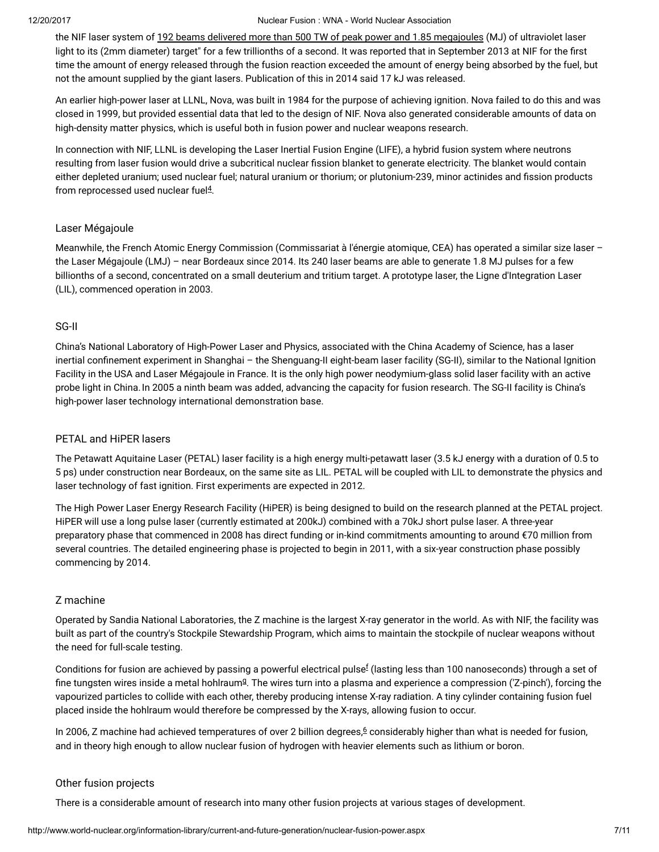the NIF laser system of 192 beams delivered more than 500 TW of peak power and 1.85 [megajoules](https://www.llnl.gov/news/newsreleases/2012/Jul/NR-12-07-01.html) (MJ) of ultraviolet laser light to its (2mm diameter) target" for a few trillionths of a second. It was reported that in September 2013 at NIF for the first time the amount of energy released through the fusion reaction exceeded the amount of energy being absorbed by the fuel, but not the amount supplied by the giant lasers. Publication of this in 2014 said 17 kJ was released.

An earlier high-power laser at LLNL, Nova, was built in 1984 for the purpose of achieving ignition. Nova failed to do this and was closed in 1999, but provided essential data that led to the design of NIF. Nova also generated considerable amounts of data on high-density matter physics, which is useful both in fusion power and nuclear weapons research.

In connection with NIF, LLNL is developing the Laser Inertial Fusion Engine (LIFE), a hybrid fusion system where neutrons resulting from laser fusion would drive a subcritical nuclear fission blanket to generate electricity. The blanket would contain either depleted uranium; used nuclear fuel; natural uranium or thorium; or plutonium-239, minor actinides and fission products from reprocessed used nuclear fuel $4$ .

# <span id="page-6-2"></span>Laser Mégajoule

Meanwhile, the French Atomic Energy Commission (Commissariat à l'énergie atomique, CEA) has operated a similar size laser the Laser Mégajoule (LMJ) – near Bordeaux since 2014. Its 240 laser beams are able to generate 1.8 MJ pulses for a few billionths of a second, concentrated on a small deuterium and tritium target. A prototype laser, the Ligne d'Integration Laser (LIL), commenced operation in 2003.

#### SG-II

China's National Laboratory of High-Power Laser and Physics, associated with the China Academy of Science, has a laser inertial confinement experiment in Shanghai – the Shenguang-II eight-beam laser facility (SG-II), similar to the National Ignition Facility in the USA and Laser Mégajoule in France. It is the only high power neodymium-glass solid laser facility with an active probe light in China.In 2005 a ninth beam was added, advancing the capacity for fusion research. The SG-II facility is China's high-power laser technology international demonstration base.

# PETAL and HiPER lasers

The Petawatt Aquitaine Laser (PETAL) laser facility is a high energy multi-petawatt laser (3.5 kJ energy with a duration of 0.5 to 5 ps) under construction near Bordeaux, on the same site as LIL. PETAL will be coupled with LIL to demonstrate the physics and laser technology of fast ignition. First experiments are expected in 2012.

The High Power Laser Energy Research Facility (HiPER) is being designed to build on the research planned at the PETAL project. HiPER will use a long pulse laser (currently estimated at 200kJ) combined with a 70kJ short pulse laser. A three-year preparatory phase that commenced in 2008 has direct funding or in-kind commitments amounting to around €70 million from several countries. The detailed engineering phase is projected to begin in 2011, with a six-year construction phase possibly commencing by 2014.

# Z machine

Operated by Sandia National Laboratories, the Z machine is the largest X-ray generator in the world. As with NIF, the facility was built as part of the country's Stockpile Stewardship Program, which aims to maintain the stockpile of nuclear weapons without the need for full-scale testing.

<span id="page-6-1"></span><span id="page-6-0"></span>Conditions [f](#page-8-0)or fusion are achieved by passing a powerful electrical pulse $^{\rm f}$  (lasting less than 100 nanoseconds) through a set of fine tun[g](#page-8-0)sten wires inside a metal hohlraum $9$ . The wires turn into a plasma and experience a compression ('Z-pinch'), forcing the vapourized particles to collide with each other, thereby producing intense X-ray radiation. A tiny cylinder containing fusion fuel placed inside the hohlraum would therefore be compressed by the X-rays, allowing fusion to occur.

<span id="page-6-3"></span>In 200[6](#page-9-0), Z machine had achieved temperatures of over 2 billion degrees, $6$  considerably higher than what is needed for fusion, and in theory high enough to allow nuclear fusion of hydrogen with heavier elements such as lithium or boron.

# Other fusion projects

There is a considerable amount of research into many other fusion projects at various stages of development.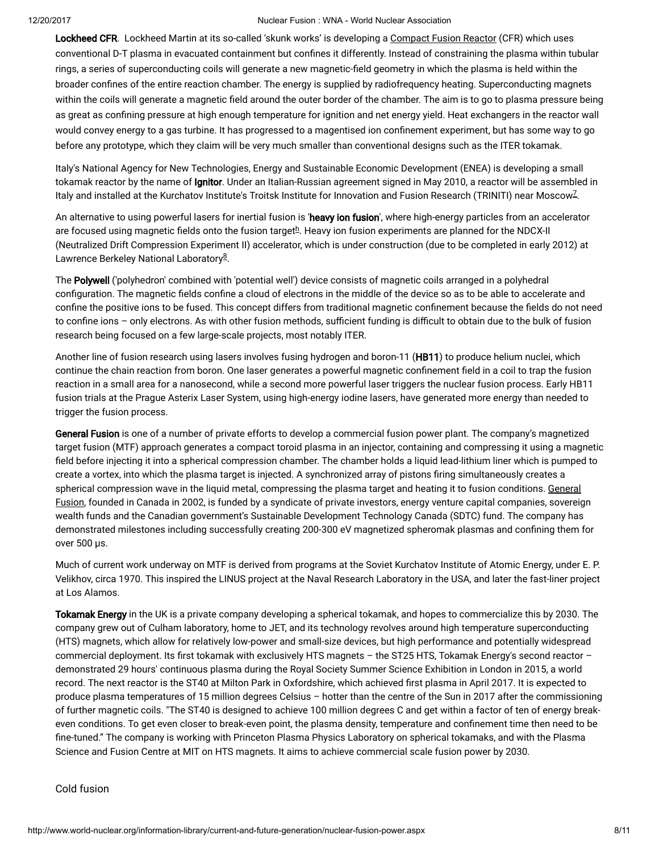Lockheed CFR. Lockheed Martin at its so-called 'skunk works' is developing a [Compact](http://www.lockheedmartin.com/us/products/compact-fusion.html) Fusion Reactor (CFR) which uses conventional D-T plasma in evacuated containment but confines it differently. Instead of constraining the plasma within tubular rings, a series of superconducting coils will generate a new magnetic-field geometry in which the plasma is held within the broader confines of the entire reaction chamber. The energy is supplied by radiofrequency heating. Superconducting magnets within the coils will generate a magnetic field around the outer border of the chamber. The aim is to go to plasma pressure being as great as confining pressure at high enough temperature for ignition and net energy yield. Heat exchangers in the reactor wall would convey energy to a gas turbine. It has progressed to a magentised ion confinement experiment, but has some way to go before any prototype, which they claim will be very much smaller than conventional designs such as the ITER tokamak.

Italy's National Agency for New Technologies, Energy and Sustainable Economic Development (ENEA) is developing a small tokamak reactor by the name of Ignitor. Under an Italian-Russian agreement signed in May 2010, a reactor will be assembled in ltaly and installed at the Kurchatov Institute's Troitsk Institute for Innovation and Fusion Research (TRINITI) near Moscow<sup>[7](#page-9-0)</sup>.

<span id="page-7-1"></span><span id="page-7-0"></span>An alternative to using powerful lasers for inertial fusion is 'heavy ion fusion', where high-energy particles from an accelerator are focused using magnetic fields onto t[h](#page-8-0)e fusion target $^{\underline{h}}$ . Heavy ion fusion experiments are planned for the NDCX-II (Neutralized Drift Compression Experiment II) accelerator, which is under construction (due to be completed in early 2012) at Lawrence Berkeley National Laboratory<sup>[8](#page-9-0)</sup>.

<span id="page-7-2"></span>The Polywell ('polyhedron' combined with 'potential well') device consists of magnetic coils arranged in a polyhedral configuration. The magnetic fields confine a cloud of electrons in the middle of the device so as to be able to accelerate and confine the positive ions to be fused. This concept differs from traditional magnetic confinement because the fields do not need to confine ions – only electrons. As with other fusion methods, sufficient funding is difficult to obtain due to the bulk of fusion research being focused on a few large-scale projects, most notably ITER.

Another line of fusion research using lasers involves fusing hydrogen and boron-11 (HB11) to produce helium nuclei, which continue the chain reaction from boron. One laser generates a powerful magnetic confinement field in a coil to trap the fusion reaction in a small area for a nanosecond, while a second more powerful laser triggers the nuclear fusion process. Early HB11 fusion trials at the Prague Asterix Laser System, using high-energy iodine lasers, have generated more energy than needed to trigger the fusion process.

General Fusion is one of a number of private efforts to develop a commercial fusion power plant. The company's magnetized target fusion (MTF) approach generates a compact toroid plasma in an injector, containing and compressing it using a magnetic field before injecting it into a spherical compression chamber. The chamber holds a liquid lead-lithium liner which is pumped to create a vortex, into which the plasma target is injected. A synchronized array of pistons ring simultaneously creates a spherical [compression](http://www.generalfusion.com/) wave in the liquid metal, compressing the plasma target and heating it to fusion conditions. General Fusion, founded in Canada in 2002, is funded by a syndicate of private investors, energy venture capital companies, sovereign wealth funds and the Canadian government's Sustainable Development Technology Canada (SDTC) fund. The company has demonstrated milestones including successfully creating 200-300 eV magnetized spheromak plasmas and confining them for over 500 µs.

Much of current work underway on MTF is derived from programs at the Soviet Kurchatov Institute of Atomic Energy, under E. P. Velikhov, circa 1970. This inspired the LINUS project at the Naval Research Laboratory in the USA, and later the fast-liner project at Los Alamos.

Tokamak Energy in the UK is a private company developing a spherical tokamak, and hopes to commercialize this by 2030. The company grew out of Culham laboratory, home to JET, and its technology revolves around high temperature superconducting (HTS) magnets, which allow for relatively low-power and small-size devices, but high performance and potentially widespread commercial deployment. Its first tokamak with exclusively HTS magnets – the ST25 HTS, Tokamak Energy's second reactor – demonstrated 29 hours' continuous plasma during the Royal Society Summer Science Exhibition in London in 2015, a world record. The next reactor is the ST40 at Milton Park in Oxfordshire, which achieved first plasma in April 2017. It is expected to produce plasma temperatures of 15 million degrees Celsius – hotter than the centre of the Sun in 2017 after the commissioning of further magnetic coils. "The ST40 is designed to achieve 100 million degrees C and get within a factor of ten of energy breakeven conditions. To get even closer to break-even point, the plasma density, temperature and confinement time then need to be fine-tuned." The company is working with Princeton Plasma Physics Laboratory on spherical tokamaks, and with the Plasma Science and Fusion Centre at MIT on HTS magnets. It aims to achieve commercial scale fusion power by 2030.

Cold fusion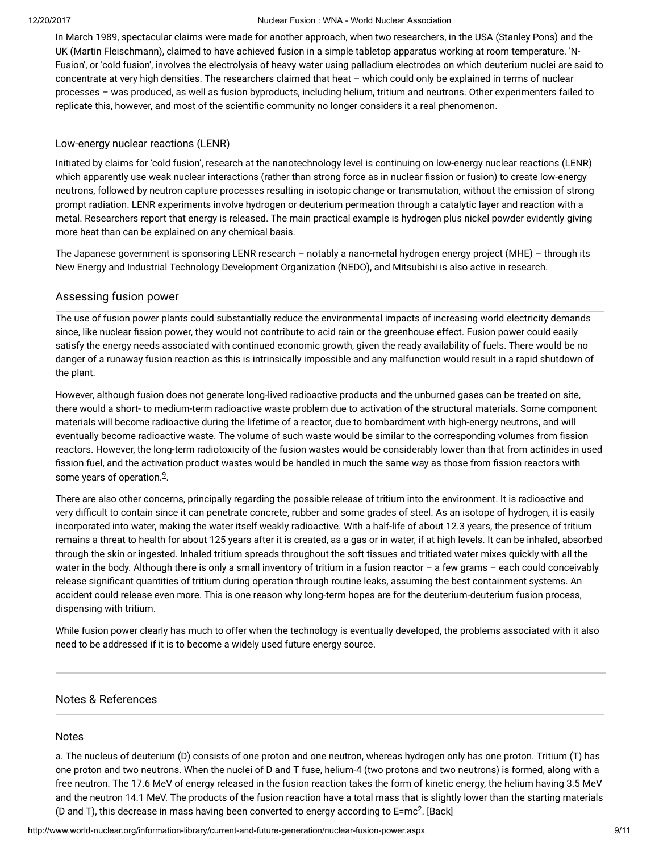In March 1989, spectacular claims were made for another approach, when two researchers, in the USA (Stanley Pons) and the UK (Martin Fleischmann), claimed to have achieved fusion in a simple tabletop apparatus working at room temperature. 'N-Fusion', or 'cold fusion', involves the electrolysis of heavy water using palladium electrodes on which deuterium nuclei are said to concentrate at very high densities. The researchers claimed that heat – which could only be explained in terms of nuclear processes – was produced, as well as fusion byproducts, including helium, tritium and neutrons. Other experimenters failed to replicate this, however, and most of the scientific community no longer considers it a real phenomenon.

#### Low-energy nuclear reactions (LENR)

Initiated by claims for 'cold fusion', research at the nanotechnology level is continuing on low-energy nuclear reactions (LENR) which apparently use weak nuclear interactions (rather than strong force as in nuclear fission or fusion) to create low-energy neutrons, followed by neutron capture processes resulting in isotopic change or transmutation, without the emission of strong prompt radiation. LENR experiments involve hydrogen or deuterium permeation through a catalytic layer and reaction with a metal. Researchers report that energy is released. The main practical example is hydrogen plus nickel powder evidently giving more heat than can be explained on any chemical basis.

The Japanese government is sponsoring LENR research – notably a nano-metal hydrogen energy project (MHE) – through its New Energy and Industrial Technology Development Organization (NEDO), and Mitsubishi is also active in research.

# Assessing fusion power

The use of fusion power plants could substantially reduce the environmental impacts of increasing world electricity demands since, like nuclear fission power, they would not contribute to acid rain or the greenhouse effect. Fusion power could easily satisfy the energy needs associated with continued economic growth, given the ready availability of fuels. There would be no danger of a runaway fusion reaction as this is intrinsically impossible and any malfunction would result in a rapid shutdown of the plant.

However, although fusion does not generate long-lived radioactive products and the unburned gases can be treated on site, there would a short- to medium-term radioactive waste problem due to activation of the structural materials. Some component materials will become radioactive during the lifetime of a reactor, due to bombardment with high-energy neutrons, and will eventually become radioactive waste. The volume of such waste would be similar to the corresponding volumes from fission reactors. However, the long-term radiotoxicity of the fusion wastes would be considerably lower than that from actinides in used fission fuel, and the activation product wastes would be handled in much the same way as those from fission reactors with some years of operation.<sup>[9](#page-9-0)</sup>.

<span id="page-8-1"></span>There are also other concerns, principally regarding the possible release of tritium into the environment. It is radioactive and very difficult to contain since it can penetrate concrete, rubber and some grades of steel. As an isotope of hydrogen, it is easily incorporated into water, making the water itself weakly radioactive. With a half-life of about 12.3 years, the presence of tritium remains a threat to health for about 125 years after it is created, as a gas or in water, if at high levels. It can be inhaled, absorbed through the skin or ingested. Inhaled tritium spreads throughout the soft tissues and tritiated water mixes quickly with all the water in the body. Although there is only a small inventory of tritium in a fusion reactor – a few grams – each could conceivably release significant quantities of tritium during operation through routine leaks, assuming the best containment systems. An accident could release even more. This is one reason why long-term hopes are for the deuterium-deuterium fusion process, dispensing with tritium.

While fusion power clearly has much to offer when the technology is eventually developed, the problems associated with it also need to be addressed if it is to become a widely used future energy source.

# Notes & References

#### <span id="page-8-0"></span>Notes

a. The nucleus of deuterium (D) consists of one proton and one neutron, whereas hydrogen only has one proton. Tritium (T) has one proton and two neutrons. When the nuclei of D and T fuse, helium-4 (two protons and two neutrons) is formed, along with a free neutron. The 17.6 MeV of energy released in the fusion reaction takes the form of kinetic energy, the helium having 3.5 MeV and the neutron 14.1 MeV. The products of the fusion reaction have a total mass that is slightly lower than the starting materials (D and T), this decrease in mass having been converted to energy according to E=mc<sup>2</sup>. [\[Back\]](#page-0-0)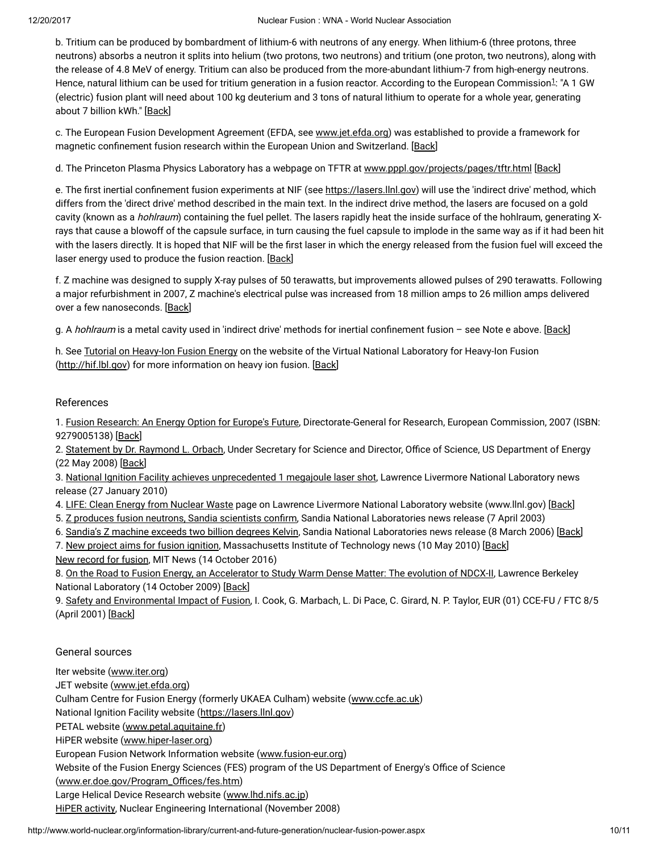<span id="page-9-1"></span>b. Tritium can be produced by bombardment of lithium-6 with neutrons of any energy. When lithium-6 (three protons, three neutrons) absorbs a neutron it splits into helium (two protons, two neutrons) and tritium (one proton, two neutrons), along with the release of 4.8 MeV of energy. Tritium can also be produced from the more-abundant lithium-7 from high-energy neutrons. Hence, natural lithium can be used for tritium generation in a fusion reactor. According to the European Commission<sup>[1](#page-9-0)</sup>: "A 1 GW (electric) fusion plant will need about 100 kg deuterium and 3 tons of natural lithium to operate for a whole year, generating about 7 billion kWh." [[Back](#page-0-1)]

c. The European Fusion Development Agreement (EFDA, see [www.jet.efda.org](http://www.jet.efda.org/efda/)) was established to provide a framework for magnetic confinement fusion research within the European Union and Switzerland. [\[Back\]](#page-4-0)

d. The Princeton Plasma Physics Laboratory has a webpage on TFTR at [www.pppl.gov/projects/pages/tftr.html](http://www.pppl.gov/projects/pages/tftr.html) [\[Back\]](#page-5-0)

e. The first inertial confinement fusion experiments at NIF (see [https://lasers.llnl.gov\)](https://lasers.llnl.gov/) will use the 'indirect drive' method, which differs from the 'direct drive' method described in the main text. In the indirect drive method, the lasers are focused on a gold cavity (known as a *hohlraum*) containing the fuel pellet. The lasers rapidly heat the inside surface of the hohlraum, generating Xrays that cause a blowoff of the capsule surface, in turn causing the fuel capsule to implode in the same way as if it had been hit with the lasers directly. It is hoped that NIF will be the first laser in which the energy released from the fusion fuel will exceed the laser energy used to produce the fusion reaction. [[Back](#page-5-1)]

f. Z machine was designed to supply X-ray pulses of 50 terawatts, but improvements allowed pulses of 290 terawatts. Following a major refurbishment in 2007, Z machine's electrical pulse was increased from 18 million amps to 26 million amps delivered over a few nanoseconds. [[Back](#page-6-0)]

g. A hohlraum is a metal cavity used in 'indirect drive' methods for inertial confinement fusion - see Note e above. [\[Back\]](#page-6-1)

h. See Tutorial on [Heavy-Ion](http://hif.lbl.gov/tutorial/tutorial.html) Fusion Energy on the website of the Virtual National Laboratory for Heavy-Ion Fusion [\(http://hif.lbl.gov\)](http://hif.lbl.gov/) for more information on heavy ion fusion. [[Back](#page-7-0)]

# <span id="page-9-0"></span>References

1. Fusion [Research:](http://ec.europa.eu/research/energy/pdf/92-79-00513-8_en.pdf) An Energy Option for Europe's Future, Directorate-General for Research, European Commission, 2007 (ISBN: 9279005138) [[Back\]](#page-9-1)

2. [Statement](http://ncsx.pppl.gov/DOE_NCSX_052208.pdf) by Dr. Raymond L. Orbach, Under Secretary for Science and Director, Office of Science, US Department of Energy (22 May 2008) [\[Back\]](#page-3-0)

3. National Ignition Facility achieves [unprecedented](https://publicaffairs.llnl.gov/news/news_releases/2010/nnsa/NR-NNSA-10-01-02.html) 1 megajoule laser shot, Lawrence Livermore National Laboratory news release (27 January 2010)

4. LIFE: Clean Energy from [Nuclear](https://lasers.llnl.gov/about/missions/energy_for_the_future/life/index.php) Waste page on Lawrence Livermore National Laboratory website (www.llnl.gov) [\[Back\]](#page-6-2)

5. Z produces fusion neutrons, Sandia [scientists](http://www.sandia.gov/news-center/news-releases/2003/nuclear-power/Zneutrons.html) confirm, Sandia National Laboratories news release (7 April 2003)

6. Sandia's Z [machine](http://www.sandia.gov/news-center/news-releases/2006/physics-astron/hottest-z-output.html) exceeds two billion degrees Kelvin, Sandia National Laboratories news release (8 March 2006) [[Back\]](#page-6-3)

7. New project aims for fusion [ignition,](http://web.mit.edu/newsoffice/2010/fusion-ignition-0510.html) Massachusetts Institute of Technology news (10 May 2010) [[Back\]](#page-7-1) New [record](http://news.mit.edu/2016/alcator-c-mod-tokamak-nuclear-fusion-world-record-1014) for fusion, MIT News (14 October 2016)

8. On the Road to Fusion Energy, an [Accelerator](http://newscenter.lbl.gov/feature-stories/2009/10/14/warm-dense-matter/) to Study Warm Dense Matter: The evolution of NDCX-II, Lawrence Berkeley National Laboratory (14 October 2009) [[Back\]](#page-7-2)

9. Safety and [Environmental](http://www.efda.org/eu_fusion_programme/downloads/scientific_and_technical_publications/SEIF_report_25Apr01.pdf) Impact of Fusion, I. Cook, G. Marbach, L. Di Pace, C. Girard, N. P. Taylor, EUR (01) CCE-FU / FTC 8/5 (April 2001) [\[Back\]](#page-8-1)

# General sources

Iter website [\(www.iter.org\)](http://www.iter.org/default.aspx)

JET website ([www.jet.efda.org](http://www.jet.efda.org/))

Culham Centre for Fusion Energy (formerly UKAEA Culham) website ([www.ccfe.ac.uk\)](http://www.ccfe.ac.uk/)

National Ignition Facility website [\(https://lasers.llnl.gov](https://lasers.llnl.gov/))

PETAL website ([www.petal.aquitaine.fr\)](http://www.petal.aquitaine.fr/spip.php?lang=en)

HiPER website [\(www.hiper-laser.org](http://www.hiper-laser.org/))

European Fusion Network Information website ([www.fusion-eur.org](http://www.fusion-eur.org/))

Website of the Fusion Energy Sciences (FES) program of the US Department of Energy's Office of Science

(www.er.doe.gov/Program\_Offices/fes.htm)

Large Helical Device Research website [\(www.lhd.nifs.ac.jp\)](http://www.lhd.nifs.ac.jp/en/)

HiPER [activity](http://www.neimagazine.com/story.asp?storyCode=2051538), Nuclear Engineering International (November 2008)